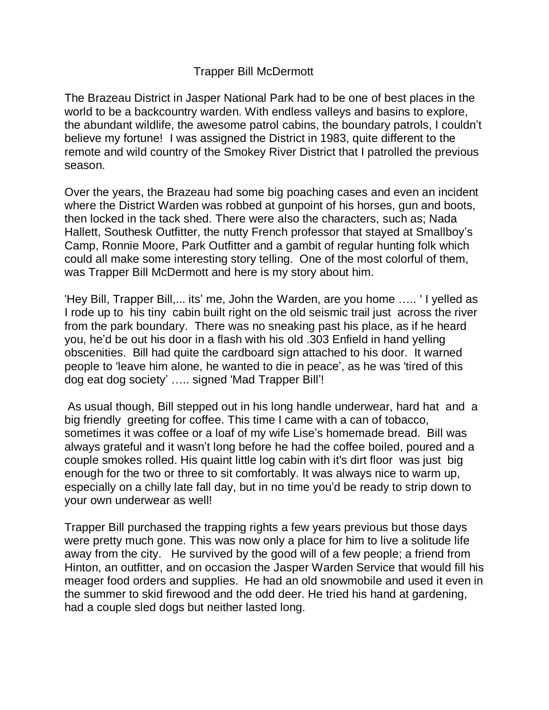## Trapper Bill McDermott

The Brazeau District in Jasper National Park had to be one of best places in the world to be a backcountry warden. With endless valleys and basins to explore, the abundant wildlife, the awesome patrol cabins, the boundary patrols, I couldn't believe my fortune! I was assigned the District in 1983, quite different to the remote and wild country of the Smokey River District that I patrolled the previous season.

Over the years, the Brazeau had some big poaching cases and even an incident where the District Warden was robbed at gunpoint of his horses, gun and boots, then locked in the tack shed. There were also the characters, such as; Nada Hallett, Southesk Outfitter, the nutty French professor that stayed at Smallboy's Camp, Ronnie Moore, Park Outfitter and a gambit of regular hunting folk which could all make some interesting story telling. One of the most colorful of them, was Trapper Bill McDermott and here is my story about him.

'Hey Bill, Trapper Bill,... its' me, John the Warden, are you home ….. ' I yelled as I rode up to his tiny cabin built right on the old seismic trail just across the river from the park boundary. There was no sneaking past his place, as if he heard you, he'd be out his door in a flash with his old .303 Enfield in hand yelling obscenities. Bill had quite the cardboard sign attached to his door. It warned people to 'leave him alone, he wanted to die in peace', as he was 'tired of this dog eat dog society' ….. signed 'Mad Trapper Bill'!

As usual though, Bill stepped out in his long handle underwear, hard hat and a big friendly greeting for coffee. This time I came with a can of tobacco, sometimes it was coffee or a loaf of my wife Lise's homemade bread. Bill was always grateful and it wasn't long before he had the coffee boiled, poured and a couple smokes rolled. His quaint little log cabin with it's dirt floor was just big enough for the two or three to sit comfortably. It was always nice to warm up, especially on a chilly late fall day, but in no time you'd be ready to strip down to your own underwear as well!

Trapper Bill purchased the trapping rights a few years previous but those days were pretty much gone. This was now only a place for him to live a solitude life away from the city. He survived by the good will of a few people; a friend from Hinton, an outfitter, and on occasion the Jasper Warden Service that would fill his meager food orders and supplies. He had an old snowmobile and used it even in the summer to skid firewood and the odd deer. He tried his hand at gardening, had a couple sled dogs but neither lasted long.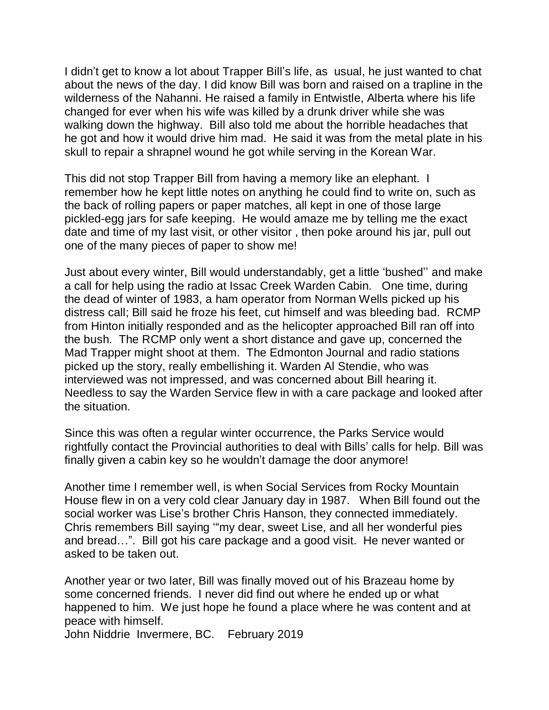I didn't get to know a lot about Trapper Bill's life, as usual, he just wanted to chat about the news of the day. I did know Bill was born and raised on a trapline in the wilderness of the Nahanni. He raised a family in Entwistle, Alberta where his life changed for ever when his wife was killed by a drunk driver while she was walking down the highway. Bill also told me about the horrible headaches that he got and how it would drive him mad. He said it was from the metal plate in his skull to repair a shrapnel wound he got while serving in the Korean War.

This did not stop Trapper Bill from having a memory like an elephant. I remember how he kept little notes on anything he could find to write on, such as the back of rolling papers or paper matches, all kept in one of those large pickled-egg jars for safe keeping. He would amaze me by telling me the exact date and time of my last visit, or other visitor , then poke around his jar, pull out one of the many pieces of paper to show me!

Just about every winter, Bill would understandably, get a little 'bushed'' and make a call for help using the radio at Issac Creek Warden Cabin. One time, during the dead of winter of 1983, a ham operator from Norman Wells picked up his distress call; Bill said he froze his feet, cut himself and was bleeding bad. RCMP from Hinton initially responded and as the helicopter approached Bill ran off into the bush. The RCMP only went a short distance and gave up, concerned the Mad Trapper might shoot at them. The Edmonton Journal and radio stations picked up the story, really embellishing it. Warden Al Stendie, who was interviewed was not impressed, and was concerned about Bill hearing it. Needless to say the Warden Service flew in with a care package and looked after the situation.

Since this was often a regular winter occurrence, the Parks Service would rightfully contact the Provincial authorities to deal with Bills' calls for help. Bill was finally given a cabin key so he wouldn't damage the door anymore!

Another time I remember well, is when Social Services from Rocky Mountain House flew in on a very cold clear January day in 1987. When Bill found out the social worker was Lise's brother Chris Hanson, they connected immediately. Chris remembers Bill saying '"my dear, sweet Lise, and all her wonderful pies and bread…". Bill got his care package and a good visit. He never wanted or asked to be taken out.

Another year or two later, Bill was finally moved out of his Brazeau home by some concerned friends. I never did find out where he ended up or what happened to him. We just hope he found a place where he was content and at peace with himself.

John Niddrie Invermere, BC. February 2019